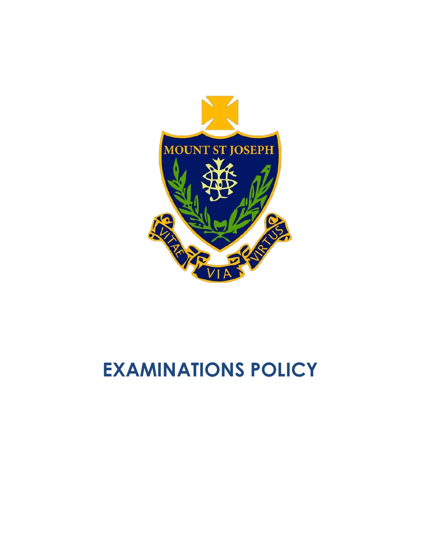

# **EXAMINATIONS POLICY**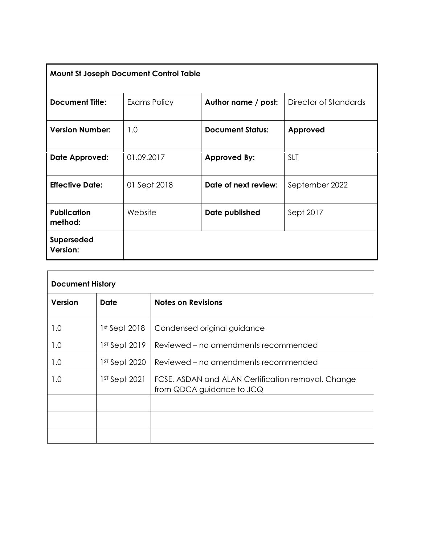| <b>Mount St Joseph Document Control Table</b> |              |                         |                       |  |
|-----------------------------------------------|--------------|-------------------------|-----------------------|--|
| <b>Document Title:</b>                        | Exams Policy | Author name / post:     | Director of Standards |  |
| <b>Version Number:</b>                        | 1.0          | <b>Document Status:</b> | Approved              |  |
| Date Approved:                                | 01.09.2017   | <b>Approved By:</b>     | <b>SLT</b>            |  |
| <b>Effective Date:</b>                        | 01 Sept 2018 | Date of next review:    | September 2022        |  |
| <b>Publication</b><br>method:                 | Website      | Date published          | Sept 2017             |  |
| Superseded<br>Version:                        |              |                         |                       |  |

| <b>Document History</b> |                 |                                                                                 |  |
|-------------------------|-----------------|---------------------------------------------------------------------------------|--|
| <b>Version</b>          | <b>Date</b>     | <b>Notes on Revisions</b>                                                       |  |
| 1.0                     | $1st$ Sept 2018 | Condensed original guidance                                                     |  |
| 1.0                     | 1st Sept 2019   | Reviewed – no amendments recommended                                            |  |
| 1.0                     | 1st Sept 2020   | Reviewed – no amendments recommended                                            |  |
| 1.0                     | $1ST$ Sept 2021 | FCSE, ASDAN and ALAN Certification removal. Change<br>from QDCA guidance to JCQ |  |
|                         |                 |                                                                                 |  |
|                         |                 |                                                                                 |  |
|                         |                 |                                                                                 |  |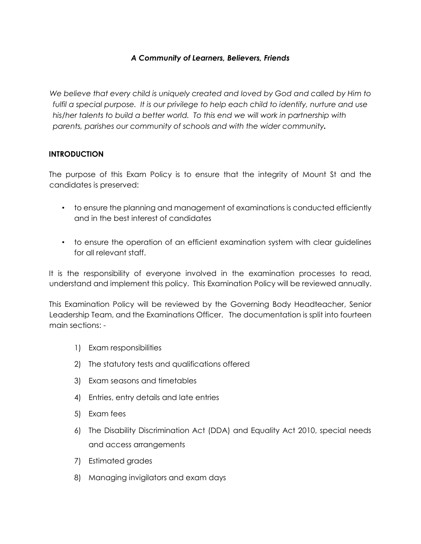## *A Community of Learners, Believers, Friends*

*We believe that every child is uniquely created and loved by God and called by Him to fulfil a special purpose. It is our privilege to help each child to identify, nurture and use his/her talents to build a better world. To this end we will work in partnership with parents, parishes our community of schools and with the wider community.* 

#### **INTRODUCTION**

The purpose of this Exam Policy is to ensure that the integrity of Mount St and the candidates is preserved:

- to ensure the planning and management of examinations is conducted efficiently and in the best interest of candidates
- to ensure the operation of an efficient examination system with clear guidelines for all relevant staff.

It is the responsibility of everyone involved in the examination processes to read, understand and implement this policy. This Examination Policy will be reviewed annually.

This Examination Policy will be reviewed by the Governing Body Headteacher, Senior Leadership Team, and the Examinations Officer. The documentation is split into fourteen main sections: -

- 1) Exam responsibilities
- 2) The statutory tests and qualifications offered
- 3) Exam seasons and timetables
- 4) Entries, entry details and late entries
- 5) Exam fees
- 6) The Disability Discrimination Act (DDA) and Equality Act 2010, special needs and access arrangements
- 7) Estimated grades
- 8) Managing invigilators and exam days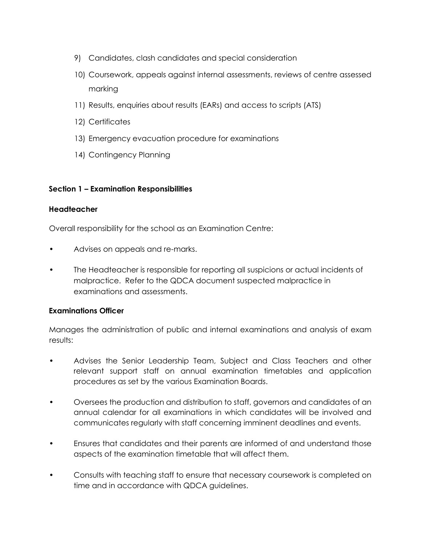- 9) Candidates, clash candidates and special consideration
- 10) Coursework, appeals against internal assessments, reviews of centre assessed marking
- 11) Results, enquiries about results (EARs) and access to scripts (ATS)
- 12) Certificates
- 13) Emergency evacuation procedure for examinations
- 14) Contingency Planning

## **Section 1 – Examination Responsibilities**

#### **Headteacher**

Overall responsibility for the school as an Examination Centre:

- Advises on appeals and re-marks.
- The Headteacher is responsible for reporting all suspicions or actual incidents of malpractice. Refer to the QDCA document suspected malpractice in examinations and assessments.

## **Examinations Officer**

Manages the administration of public and internal examinations and analysis of exam results:

- Advises the Senior Leadership Team, Subject and Class Teachers and other relevant support staff on annual examination timetables and application procedures as set by the various Examination Boards.
- Oversees the production and distribution to staff, governors and candidates of an annual calendar for all examinations in which candidates will be involved and communicates regularly with staff concerning imminent deadlines and events.
- Ensures that candidates and their parents are informed of and understand those aspects of the examination timetable that will affect them.
- Consults with teaching staff to ensure that necessary coursework is completed on time and in accordance with QDCA guidelines.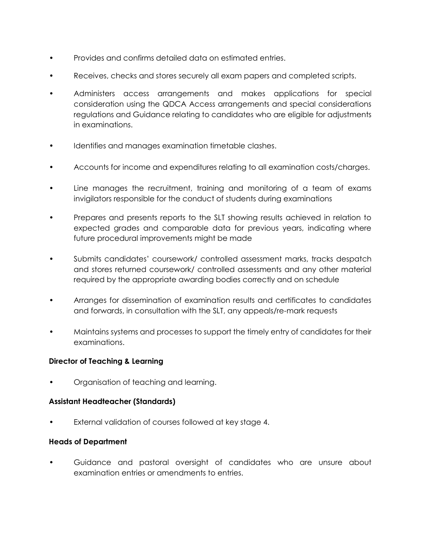- Provides and confirms detailed data on estimated entries.
- Receives, checks and stores securely all exam papers and completed scripts.
- Administers access arrangements and makes applications for special consideration using the QDCA Access arrangements and special considerations regulations and Guidance relating to candidates who are eligible for adjustments in examinations.
- Identifies and manages examination timetable clashes.
- Accounts for income and expenditures relating to all examination costs/charges.
- Line manages the recruitment, training and monitoring of a team of exams invigilators responsible for the conduct of students during examinations
- Prepares and presents reports to the SLT showing results achieved in relation to expected grades and comparable data for previous years, indicating where future procedural improvements might be made
- Submits candidates' coursework/ controlled assessment marks, tracks despatch and stores returned coursework/ controlled assessments and any other material required by the appropriate awarding bodies correctly and on schedule
- Arranges for dissemination of examination results and certificates to candidates and forwards, in consultation with the SLT, any appeals/re-mark requests
- Maintains systems and processes to support the timely entry of candidates for their examinations.

## **Director of Teaching & Learning**

• Organisation of teaching and learning.

#### **Assistant Headteacher (Standards)**

• External validation of courses followed at key stage 4.

#### **Heads of Department**

• Guidance and pastoral oversight of candidates who are unsure about examination entries or amendments to entries.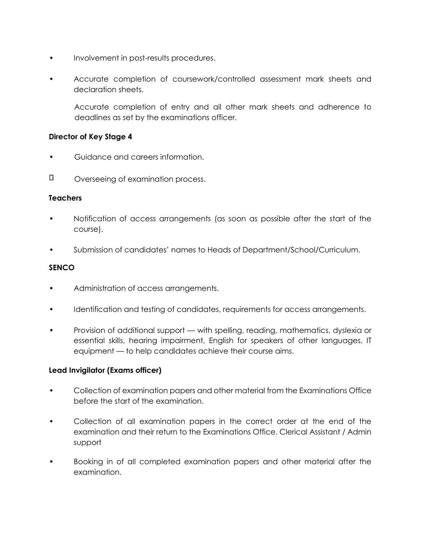- Involvement in post-results procedures.
- Accurate completion of coursework/controlled assessment mark sheets and declaration sheets.

Accurate completion of entry and all other mark sheets and adherence to deadlines as set by the examinations officer.

#### **Director of Key Stage 4**

- Guidance and careers information.
- $\Box$ Overseeing of examination process.

#### **Teachers**

- Notification of access arrangements (as soon as possible after the start of the course).
- Submission of candidates' names to Heads of Department/School/Curriculum.

#### **SENCO**

- Administration of access arrangements.
- Identification and testing of candidates, requirements for access arrangements.
- Provision of additional support with spelling, reading, mathematics, dyslexia or essential skills, hearing impairment, English for speakers of other languages, IT equipment — to help candidates achieve their course aims.

## **Lead Invigilator (Exams officer)**

- Collection of examination papers and other material from the Examinations Office before the start of the examination.
- Collection of all examination papers in the correct order at the end of the examination and their return to the Examinations Office. Clerical Assistant / Admin support
- Booking in of all completed examination papers and other material after the examination.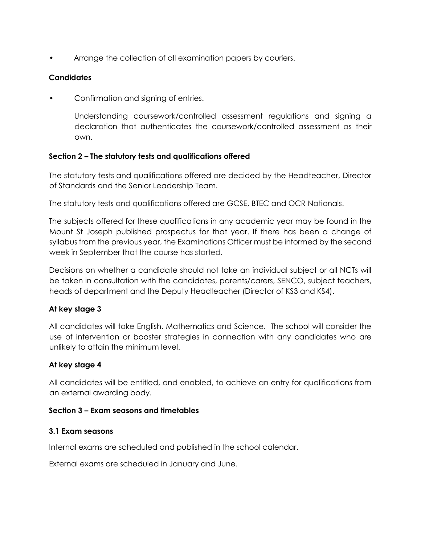Arrange the collection of all examination papers by couriers.

## **Candidates**

• Confirmation and signing of entries.

Understanding coursework/controlled assessment regulations and signing a declaration that authenticates the coursework/controlled assessment as their own.

## **Section 2 – The statutory tests and qualifications offered**

The statutory tests and qualifications offered are decided by the Headteacher, Director of Standards and the Senior Leadership Team.

The statutory tests and qualifications offered are GCSE, BTEC and OCR Nationals.

The subjects offered for these qualifications in any academic year may be found in the Mount St Joseph published prospectus for that year. If there has been a change of syllabus from the previous year, the Examinations Officer must be informed by the second week in September that the course has started.

Decisions on whether a candidate should not take an individual subject or all NCTs will be taken in consultation with the candidates, parents/carers, SENCO, subject teachers, heads of department and the Deputy Headteacher (Director of KS3 and KS4).

## **At key stage 3**

All candidates will take English, Mathematics and Science. The school will consider the use of intervention or booster strategies in connection with any candidates who are unlikely to attain the minimum level.

## **At key stage 4**

All candidates will be entitled, and enabled, to achieve an entry for qualifications from an external awarding body.

## **Section 3 – Exam seasons and timetables**

## **3.1 Exam seasons**

Internal exams are scheduled and published in the school calendar.

External exams are scheduled in January and June.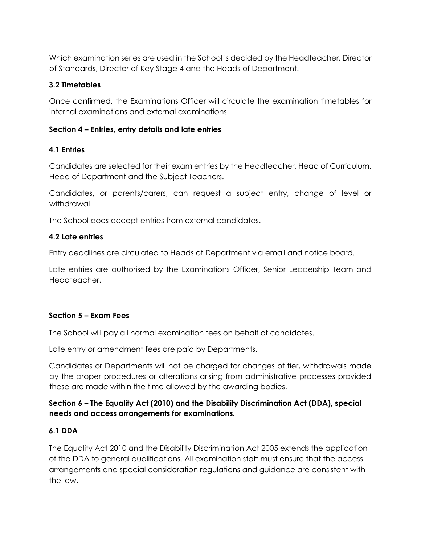Which examination series are used in the School is decided by the Headteacher, Director of Standards, Director of Key Stage 4 and the Heads of Department.

## **3.2 Timetables**

Once confirmed, the Examinations Officer will circulate the examination timetables for internal examinations and external examinations.

## **Section 4 – Entries, entry details and late entries**

## **4.1 Entries**

Candidates are selected for their exam entries by the Headteacher, Head of Curriculum, Head of Department and the Subject Teachers.

Candidates, or parents/carers, can request a subject entry, change of level or withdrawal.

The School does accept entries from external candidates.

## **4.2 Late entries**

Entry deadlines are circulated to Heads of Department via email and notice board.

Late entries are authorised by the Examinations Officer, Senior Leadership Team and Headteacher.

# **Section 5 – Exam Fees**

The School will pay all normal examination fees on behalf of candidates.

Late entry or amendment fees are paid by Departments.

Candidates or Departments will not be charged for changes of tier, withdrawals made by the proper procedures or alterations arising from administrative processes provided these are made within the time allowed by the awarding bodies.

## **Section 6 – The Equality Act (2010) and the Disability Discrimination Act (DDA), special needs and access arrangements for examinations.**

# **6.1 DDA**

The Equality Act 2010 and the Disability Discrimination Act 2005 extends the application of the DDA to general qualifications. All examination staff must ensure that the access arrangements and special consideration regulations and guidance are consistent with the law.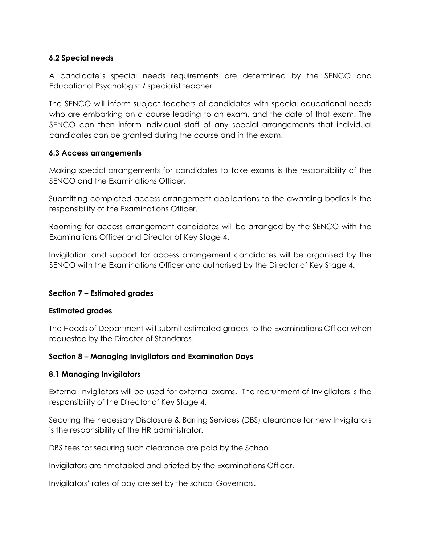## **6.2 Special needs**

A candidate's special needs requirements are determined by the SENCO and Educational Psychologist / specialist teacher.

The SENCO will inform subject teachers of candidates with special educational needs who are embarking on a course leading to an exam, and the date of that exam. The SENCO can then inform individual staff of any special arrangements that individual candidates can be granted during the course and in the exam.

## **6.3 Access arrangements**

Making special arrangements for candidates to take exams is the responsibility of the SENCO and the Examinations Officer.

Submitting completed access arrangement applications to the awarding bodies is the responsibility of the Examinations Officer.

Rooming for access arrangement candidates will be arranged by the SENCO with the Examinations Officer and Director of Key Stage 4.

Invigilation and support for access arrangement candidates will be organised by the SENCO with the Examinations Officer and authorised by the Director of Key Stage 4.

## **Section 7 – Estimated grades**

## **Estimated grades**

The Heads of Department will submit estimated grades to the Examinations Officer when requested by the Director of Standards.

## **Section 8 – Managing Invigilators and Examination Days**

## **8.1 Managing Invigilators**

External Invigilators will be used for external exams. The recruitment of Invigilators is the responsibility of the Director of Key Stage 4.

Securing the necessary Disclosure & Barring Services (DBS) clearance for new Invigilators is the responsibility of the HR administrator.

DBS fees for securing such clearance are paid by the School.

Invigilators are timetabled and briefed by the Examinations Officer.

Invigilators' rates of pay are set by the school Governors.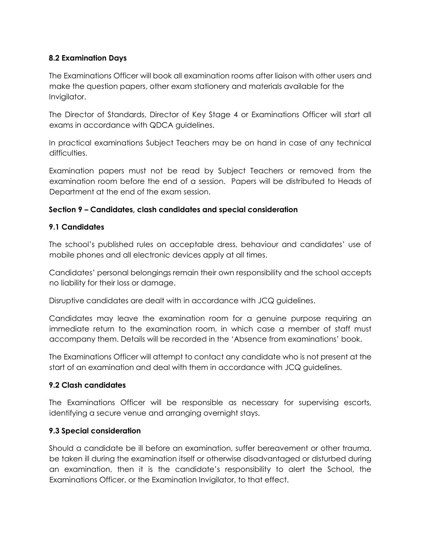# **8.2 Examination Days**

The Examinations Officer will book all examination rooms after liaison with other users and make the question papers, other exam stationery and materials available for the Invigilator.

The Director of Standards, Director of Key Stage 4 or Examinations Officer will start all exams in accordance with QDCA guidelines.

In practical examinations Subject Teachers may be on hand in case of any technical difficulties.

Examination papers must not be read by Subject Teachers or removed from the examination room before the end of a session. Papers will be distributed to Heads of Department at the end of the exam session.

## **Section 9 – Candidates, clash candidates and special consideration**

## **9.1 Candidates**

The school's published rules on acceptable dress, behaviour and candidates' use of mobile phones and all electronic devices apply at all times.

Candidates' personal belongings remain their own responsibility and the school accepts no liability for their loss or damage.

Disruptive candidates are dealt with in accordance with JCQ guidelines.

Candidates may leave the examination room for a genuine purpose requiring an immediate return to the examination room, in which case a member of staff must accompany them. Details will be recorded in the 'Absence from examinations' book.

The Examinations Officer will attempt to contact any candidate who is not present at the start of an examination and deal with them in accordance with JCQ guidelines.

## **9.2 Clash candidates**

The Examinations Officer will be responsible as necessary for supervising escorts, identifying a secure venue and arranging overnight stays.

## **9.3 Special consideration**

Should a candidate be ill before an examination, suffer bereavement or other trauma, be taken ill during the examination itself or otherwise disadvantaged or disturbed during an examination, then it is the candidate's responsibility to alert the School, the Examinations Officer, or the Examination Invigilator, to that effect.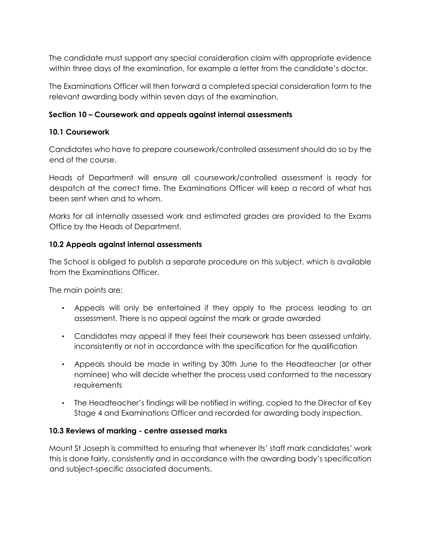The candidate must support any special consideration claim with appropriate evidence within three days of the examination, for example a letter from the candidate's doctor.

The Examinations Officer will then forward a completed special consideration form to the relevant awarding body within seven days of the examination.

## **Section 10 – Coursework and appeals against internal assessments**

## **10.1 Coursework**

Candidates who have to prepare coursework/controlled assessment should do so by the end of the course.

Heads of Department will ensure all coursework/controlled assessment is ready for despatch at the correct time. The Examinations Officer will keep a record of what has been sent when and to whom.

Marks for all internally assessed work and estimated grades are provided to the Exams Office by the Heads of Department.

## **10.2 Appeals against internal assessments**

The School is obliged to publish a separate procedure on this subject, which is available from the Examinations Officer.

The main points are:

- Appeals will only be entertained if they apply to the process leading to an assessment. There is no appeal against the mark or grade awarded
- Candidates may appeal if they feel their coursework has been assessed unfairly, inconsistently or not in accordance with the specification for the qualification
- Appeals should be made in writing by 30th June to the Headteacher (or other nominee) who will decide whether the process used conformed to the necessary requirements
- The Headteacher's findings will be notified in writing, copied to the Director of Key Stage 4 and Examinations Officer and recorded for awarding body inspection.

## **10.3 Reviews of marking - centre assessed marks**

Mount St Joseph is committed to ensuring that whenever its' staff mark candidates' work this is done fairly, consistently and in accordance with the awarding body's specification and subject-specific associated documents.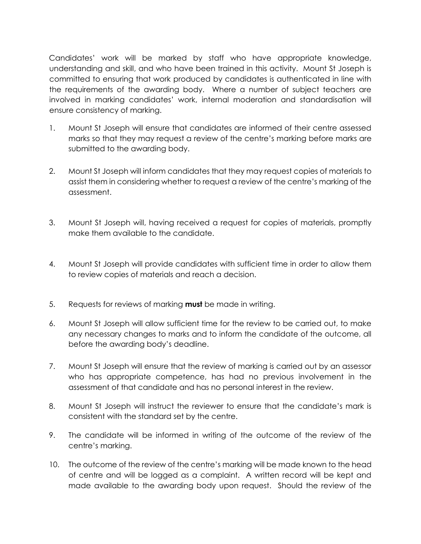Candidates' work will be marked by staff who have appropriate knowledge, understanding and skill, and who have been trained in this activity. Mount St Joseph is committed to ensuring that work produced by candidates is authenticated in line with the requirements of the awarding body. Where a number of subject teachers are involved in marking candidates' work, internal moderation and standardisation will ensure consistency of marking.

- 1. Mount St Joseph will ensure that candidates are informed of their centre assessed marks so that they may request a review of the centre's marking before marks are submitted to the awarding body.
- 2. Mount St Joseph will inform candidates that they may request copies of materials to assist them in considering whether to request a review of the centre's marking of the assessment.
- 3. Mount St Joseph will, having received a request for copies of materials, promptly make them available to the candidate.
- 4. Mount St Joseph will provide candidates with sufficient time in order to allow them to review copies of materials and reach a decision.
- 5. Requests for reviews of marking **must** be made in writing.
- 6. Mount St Joseph will allow sufficient time for the review to be carried out, to make any necessary changes to marks and to inform the candidate of the outcome, all before the awarding body's deadline.
- 7. Mount St Joseph will ensure that the review of marking is carried out by an assessor who has appropriate competence, has had no previous involvement in the assessment of that candidate and has no personal interest in the review.
- 8. Mount St Joseph will instruct the reviewer to ensure that the candidate's mark is consistent with the standard set by the centre.
- 9. The candidate will be informed in writing of the outcome of the review of the centre's marking.
- 10. The outcome of the review of the centre's marking will be made known to the head of centre and will be logged as a complaint. A written record will be kept and made available to the awarding body upon request. Should the review of the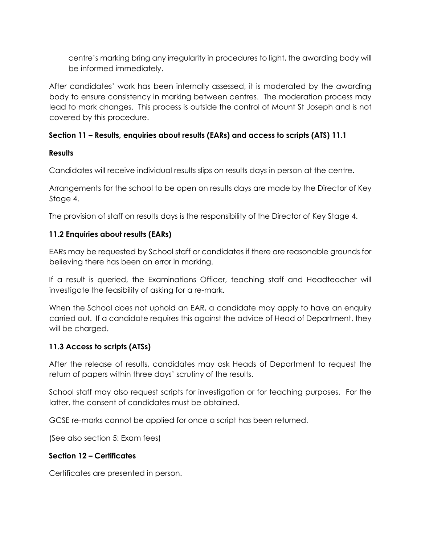centre's marking bring any irregularity in procedures to light, the awarding body will be informed immediately.

After candidates' work has been internally assessed, it is moderated by the awarding body to ensure consistency in marking between centres. The moderation process may lead to mark changes. This process is outside the control of Mount St Joseph and is not covered by this procedure.

## **Section 11 – Results, enquiries about results (EARs) and access to scripts (ATS) 11.1**

## **Results**

Candidates will receive individual results slips on results days in person at the centre.

Arrangements for the school to be open on results days are made by the Director of Key Stage 4.

The provision of staff on results days is the responsibility of the Director of Key Stage 4.

# **11.2 Enquiries about results (EARs)**

EARs may be requested by School staff or candidates if there are reasonable grounds for believing there has been an error in marking.

If a result is queried, the Examinations Officer, teaching staff and Headteacher will investigate the feasibility of asking for a re-mark.

When the School does not uphold an EAR, a candidate may apply to have an enquiry carried out. If a candidate requires this against the advice of Head of Department, they will be charged.

## **11.3 Access to scripts (ATSs)**

After the release of results, candidates may ask Heads of Department to request the return of papers within three days' scrutiny of the results.

School staff may also request scripts for investigation or for teaching purposes. For the latter, the consent of candidates must be obtained.

GCSE re-marks cannot be applied for once a script has been returned.

(See also section 5: Exam fees)

## **Section 12 – Certificates**

Certificates are presented in person.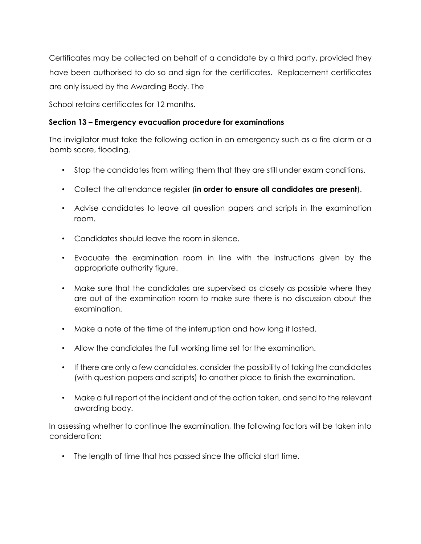Certificates may be collected on behalf of a candidate by a third party, provided they have been authorised to do so and sign for the certificates. Replacement certificates are only issued by the Awarding Body. The

School retains certificates for 12 months.

## **Section 13 – Emergency evacuation procedure for examinations**

The invigilator must take the following action in an emergency such as a fire alarm or a bomb scare, flooding.

- Stop the candidates from writing them that they are still under exam conditions.
- Collect the attendance register (**in order to ensure all candidates are present**).
- Advise candidates to leave all question papers and scripts in the examination room.
- Candidates should leave the room in silence.
- Evacuate the examination room in line with the instructions given by the appropriate authority figure.
- Make sure that the candidates are supervised as closely as possible where they are out of the examination room to make sure there is no discussion about the examination.
- Make a note of the time of the interruption and how long it lasted.
- Allow the candidates the full working time set for the examination.
- If there are only a few candidates, consider the possibility of taking the candidates (with question papers and scripts) to another place to finish the examination.
- Make a full report of the incident and of the action taken, and send to the relevant awarding body.

In assessing whether to continue the examination, the following factors will be taken into consideration:

• The length of time that has passed since the official start time.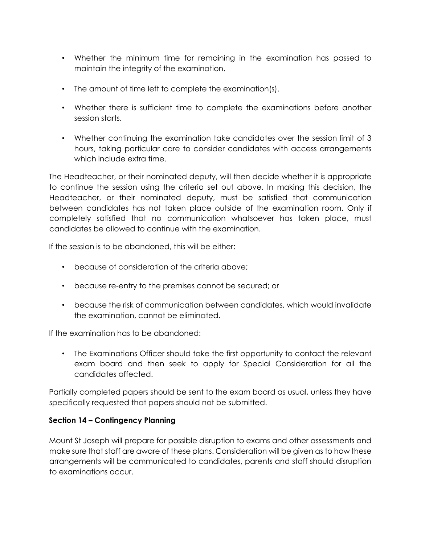- Whether the minimum time for remaining in the examination has passed to maintain the integrity of the examination.
- The amount of time left to complete the examination(s).
- Whether there is sufficient time to complete the examinations before another session starts.
- Whether continuing the examination take candidates over the session limit of 3 hours, taking particular care to consider candidates with access arrangements which include extra time.

The Headteacher, or their nominated deputy, will then decide whether it is appropriate to continue the session using the criteria set out above. In making this decision, the Headteacher, or their nominated deputy, must be satisfied that communication between candidates has not taken place outside of the examination room. Only if completely satisfied that no communication whatsoever has taken place, must candidates be allowed to continue with the examination.

If the session is to be abandoned, this will be either:

- because of consideration of the criteria above;
- because re-entry to the premises cannot be secured; or
- because the risk of communication between candidates, which would invalidate the examination, cannot be eliminated.

If the examination has to be abandoned:

• The Examinations Officer should take the first opportunity to contact the relevant exam board and then seek to apply for Special Consideration for all the candidates affected.

Partially completed papers should be sent to the exam board as usual, unless they have specifically requested that papers should not be submitted.

## **Section 14 – Contingency Planning**

Mount St Joseph will prepare for possible disruption to exams and other assessments and make sure that staff are aware of these plans. Consideration will be given as to how these arrangements will be communicated to candidates, parents and staff should disruption to examinations occur.